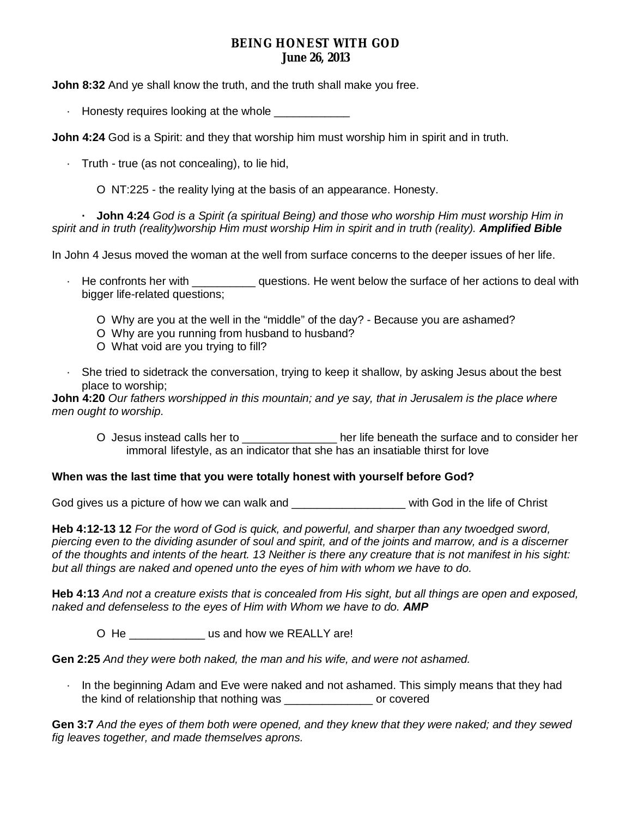# **BEING HONEST WITH GOD June 26, 2013**

**John 8:32** And ye shall know the truth, and the truth shall make you free.

 $\cdot$  Honesty requires looking at the whole

**John 4:24** God is a Spirit: and they that worship him must worship him in spirit and in truth.

· Truth - true (as not concealing), to lie hid,

O NT:225 - the reality lying at the basis of an appearance. Honesty.

- John 4:24 God is a Spirit (a spiritual Being) and those who worship Him must worship Him in spirit and in truth (reality)worship Him must worship Him in spirit and in truth (reality). Amplified Bible

In John 4 Jesus moved the woman at the well from surface concerns to the deeper issues of her life.

- · He confronts her with \_\_\_\_\_\_\_\_\_\_ questions. He went below the surface of her actions to deal with bigger life-related questions;
	- O Why are you at the well in the "middle" of the day? Because you are ashamed?
	- O Why are you running from husband to husband?
	- O What void are you trying to fill?
- · She tried to sidetrack the conversation, trying to keep it shallow, by asking Jesus about the best place to worship;

John 4:20 Our fathers worshipped in this mountain; and ye say, that in Jerusalem is the place where *men ought to worship.*

O Jesus instead calls her to \_\_\_\_\_\_\_\_\_\_\_\_\_\_\_ her life beneath the surface and to consider her immoral lifestyle, as an indicator that she has an insatiable thirst for love

#### **When was the last time that you were totally honest with yourself before God?**

God gives us a picture of how we can walk and **Example 20** with God in the life of Christ

**Heb 4:12-13 12** *For the word of God is quick, and powerful, and sharper than any twoedged sword,* piercing even to the dividing asunder of soul and spirit, and of the joints and marrow, and is a discerner of the thoughts and intents of the heart. 13 Neither is there any creature that is not manifest in his sight: *but all things are naked and opened unto the eyes of him with whom we have to do.*

Heb 4:13 And not a creature exists that is concealed from His sight, but all things are open and exposed, *naked and defenseless to the eyes of Him with Whom we have to do. AMP*

O He \_\_\_\_\_\_\_\_\_\_\_\_\_\_\_ us and how we REALLY are!

**Gen 2:25** *And they were both naked, the man and his wife, and were not ashamed.*

· In the beginning Adam and Eve were naked and not ashamed. This simply means that they had the kind of relationship that nothing was or covered

Gen 3:7 And the eyes of them both were opened, and they knew that they were naked; and they sewed *fig leaves together, and made themselves aprons.*